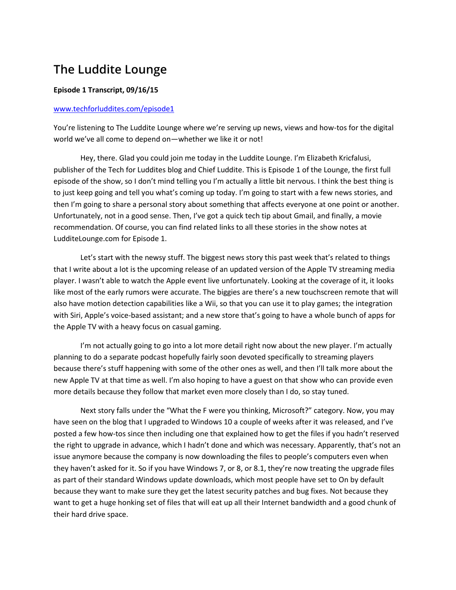## **The Luddite Lounge**

## **Episode 1 Transcript, 09/16/15**

## [www.techforluddites.com/episode1](http://www.techforluddites.com/episode1)

You're listening to The Luddite Lounge where we're serving up news, views and how-tos for the digital world we've all come to depend on—whether we like it or not!

Hey, there. Glad you could join me today in the Luddite Lounge. I'm Elizabeth Kricfalusi, publisher of the Tech for Luddites blog and Chief Luddite. This is Episode 1 of the Lounge, the first full episode of the show, so I don't mind telling you I'm actually a little bit nervous. I think the best thing is to just keep going and tell you what's coming up today. I'm going to start with a few news stories, and then I'm going to share a personal story about something that affects everyone at one point or another. Unfortunately, not in a good sense. Then, I've got a quick tech tip about Gmail, and finally, a movie recommendation. Of course, you can find related links to all these stories in the show notes at LudditeLounge.com for Episode 1.

Let's start with the newsy stuff. The biggest news story this past week that's related to things that I write about a lot is the upcoming release of an updated version of the Apple TV streaming media player. I wasn't able to watch the Apple event live unfortunately. Looking at the coverage of it, it looks like most of the early rumors were accurate. The biggies are there's a new touchscreen remote that will also have motion detection capabilities like a Wii, so that you can use it to play games; the integration with Siri, Apple's voice-based assistant; and a new store that's going to have a whole bunch of apps for the Apple TV with a heavy focus on casual gaming.

I'm not actually going to go into a lot more detail right now about the new player. I'm actually planning to do a separate podcast hopefully fairly soon devoted specifically to streaming players because there's stuff happening with some of the other ones as well, and then I'll talk more about the new Apple TV at that time as well. I'm also hoping to have a guest on that show who can provide even more details because they follow that market even more closely than I do, so stay tuned.

Next story falls under the "What the F were you thinking, Microsoft?" category. Now, you may have seen on the blog that I upgraded to Windows 10 a couple of weeks after it was released, and I've posted a few how-tos since then including one that explained how to get the files if you hadn't reserved the right to upgrade in advance, which I hadn't done and which was necessary. Apparently, that's not an issue anymore because the company is now downloading the files to people's computers even when they haven't asked for it. So if you have Windows 7, or 8, or 8.1, they're now treating the upgrade files as part of their standard Windows update downloads, which most people have set to On by default because they want to make sure they get the latest security patches and bug fixes. Not because they want to get a huge honking set of files that will eat up all their Internet bandwidth and a good chunk of their hard drive space.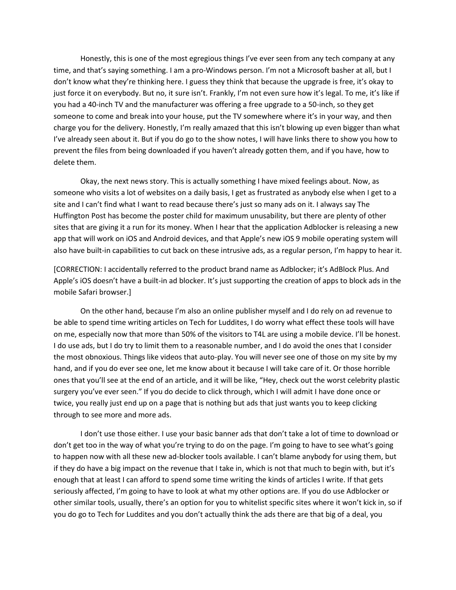Honestly, this is one of the most egregious things I've ever seen from any tech company at any time, and that's saying something. I am a pro-Windows person. I'm not a Microsoft basher at all, but I don't know what they're thinking here. I guess they think that because the upgrade is free, it's okay to just force it on everybody. But no, it sure isn't. Frankly, I'm not even sure how it's legal. To me, it's like if you had a 40-inch TV and the manufacturer was offering a free upgrade to a 50-inch, so they get someone to come and break into your house, put the TV somewhere where it's in your way, and then charge you for the delivery. Honestly, I'm really amazed that this isn't blowing up even bigger than what I've already seen about it. But if you do go to the show notes, I will have links there to show you how to prevent the files from being downloaded if you haven't already gotten them, and if you have, how to delete them.

Okay, the next news story. This is actually something I have mixed feelings about. Now, as someone who visits a lot of websites on a daily basis, I get as frustrated as anybody else when I get to a site and I can't find what I want to read because there's just so many ads on it. I always say The Huffington Post has become the poster child for maximum unusability, but there are plenty of other sites that are giving it a run for its money. When I hear that the application Adblocker is releasing a new app that will work on iOS and Android devices, and that Apple's new iOS 9 mobile operating system will also have built-in capabilities to cut back on these intrusive ads, as a regular person, I'm happy to hear it.

[CORRECTION: I accidentally referred to the product brand name as Adblocker; it's AdBlock Plus. And Apple's iOS doesn't have a built-in ad blocker. It's just supporting the creation of apps to block ads in the mobile Safari browser.]

On the other hand, because I'm also an online publisher myself and I do rely on ad revenue to be able to spend time writing articles on Tech for Luddites, I do worry what effect these tools will have on me, especially now that more than 50% of the visitors to T4L are using a mobile device. I'll be honest. I do use ads, but I do try to limit them to a reasonable number, and I do avoid the ones that I consider the most obnoxious. Things like videos that auto-play. You will never see one of those on my site by my hand, and if you do ever see one, let me know about it because I will take care of it. Or those horrible ones that you'll see at the end of an article, and it will be like, "Hey, check out the worst celebrity plastic surgery you've ever seen." If you do decide to click through, which I will admit I have done once or twice, you really just end up on a page that is nothing but ads that just wants you to keep clicking through to see more and more ads.

I don't use those either. I use your basic banner ads that don't take a lot of time to download or don't get too in the way of what you're trying to do on the page. I'm going to have to see what's going to happen now with all these new ad-blocker tools available. I can't blame anybody for using them, but if they do have a big impact on the revenue that I take in, which is not that much to begin with, but it's enough that at least I can afford to spend some time writing the kinds of articles I write. If that gets seriously affected, I'm going to have to look at what my other options are. If you do use Adblocker or other similar tools, usually, there's an option for you to whitelist specific sites where it won't kick in, so if you do go to Tech for Luddites and you don't actually think the ads there are that big of a deal, you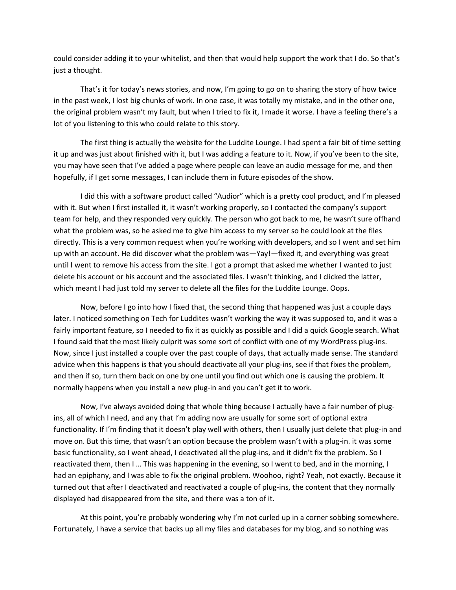could consider adding it to your whitelist, and then that would help support the work that I do. So that's just a thought.

That's it for today's news stories, and now, I'm going to go on to sharing the story of how twice in the past week, I lost big chunks of work. In one case, it was totally my mistake, and in the other one, the original problem wasn't my fault, but when I tried to fix it, I made it worse. I have a feeling there's a lot of you listening to this who could relate to this story.

The first thing is actually the website for the Luddite Lounge. I had spent a fair bit of time setting it up and was just about finished with it, but I was adding a feature to it. Now, if you've been to the site, you may have seen that I've added a page where people can leave an audio message for me, and then hopefully, if I get some messages, I can include them in future episodes of the show.

I did this with a software product called "Audior" which is a pretty cool product, and I'm pleased with it. But when I first installed it, it wasn't working properly, so I contacted the company's support team for help, and they responded very quickly. The person who got back to me, he wasn't sure offhand what the problem was, so he asked me to give him access to my server so he could look at the files directly. This is a very common request when you're working with developers, and so I went and set him up with an account. He did discover what the problem was—Yay!—fixed it, and everything was great until I went to remove his access from the site. I got a prompt that asked me whether I wanted to just delete his account or his account and the associated files. I wasn't thinking, and I clicked the latter, which meant I had just told my server to delete all the files for the Luddite Lounge. Oops.

Now, before I go into how I fixed that, the second thing that happened was just a couple days later. I noticed something on Tech for Luddites wasn't working the way it was supposed to, and it was a fairly important feature, so I needed to fix it as quickly as possible and I did a quick Google search. What I found said that the most likely culprit was some sort of conflict with one of my WordPress plug-ins. Now, since I just installed a couple over the past couple of days, that actually made sense. The standard advice when this happens is that you should deactivate all your plug-ins, see if that fixes the problem, and then if so, turn them back on one by one until you find out which one is causing the problem. It normally happens when you install a new plug-in and you can't get it to work.

Now, I've always avoided doing that whole thing because I actually have a fair number of plugins, all of which I need, and any that I'm adding now are usually for some sort of optional extra functionality. If I'm finding that it doesn't play well with others, then I usually just delete that plug-in and move on. But this time, that wasn't an option because the problem wasn't with a plug-in. it was some basic functionality, so I went ahead, I deactivated all the plug-ins, and it didn't fix the problem. So I reactivated them, then I … This was happening in the evening, so I went to bed, and in the morning, I had an epiphany, and I was able to fix the original problem. Woohoo, right? Yeah, not exactly. Because it turned out that after I deactivated and reactivated a couple of plug-ins, the content that they normally displayed had disappeared from the site, and there was a ton of it.

At this point, you're probably wondering why I'm not curled up in a corner sobbing somewhere. Fortunately, I have a service that backs up all my files and databases for my blog, and so nothing was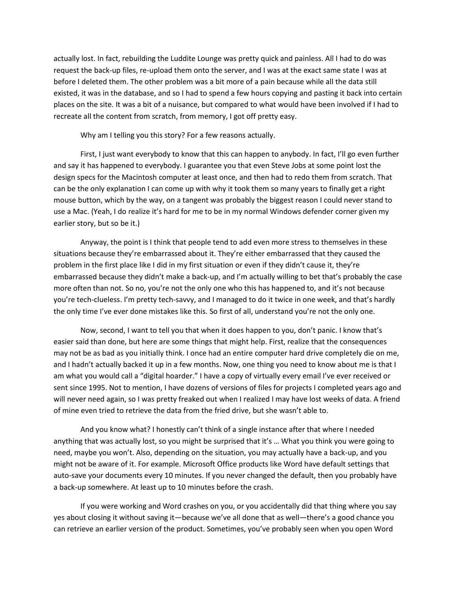actually lost. In fact, rebuilding the Luddite Lounge was pretty quick and painless. All I had to do was request the back-up files, re-upload them onto the server, and I was at the exact same state I was at before I deleted them. The other problem was a bit more of a pain because while all the data still existed, it was in the database, and so I had to spend a few hours copying and pasting it back into certain places on the site. It was a bit of a nuisance, but compared to what would have been involved if I had to recreate all the content from scratch, from memory, I got off pretty easy.

Why am I telling you this story? For a few reasons actually.

First, I just want everybody to know that this can happen to anybody. In fact, I'll go even further and say it has happened to everybody. I guarantee you that even Steve Jobs at some point lost the design specs for the Macintosh computer at least once, and then had to redo them from scratch. That can be the only explanation I can come up with why it took them so many years to finally get a right mouse button, which by the way, on a tangent was probably the biggest reason I could never stand to use a Mac. (Yeah, I do realize it's hard for me to be in my normal Windows defender corner given my earlier story, but so be it.)

Anyway, the point is I think that people tend to add even more stress to themselves in these situations because they're embarrassed about it. They're either embarrassed that they caused the problem in the first place like I did in my first situation or even if they didn't cause it, they're embarrassed because they didn't make a back-up, and I'm actually willing to bet that's probably the case more often than not. So no, you're not the only one who this has happened to, and it's not because you're tech-clueless. I'm pretty tech-savvy, and I managed to do it twice in one week, and that's hardly the only time I've ever done mistakes like this. So first of all, understand you're not the only one.

Now, second, I want to tell you that when it does happen to you, don't panic. I know that's easier said than done, but here are some things that might help. First, realize that the consequences may not be as bad as you initially think. I once had an entire computer hard drive completely die on me, and I hadn't actually backed it up in a few months. Now, one thing you need to know about me is that I am what you would call a "digital hoarder." I have a copy of virtually every email I've ever received or sent since 1995. Not to mention, I have dozens of versions of files for projects I completed years ago and will never need again, so I was pretty freaked out when I realized I may have lost weeks of data. A friend of mine even tried to retrieve the data from the fried drive, but she wasn't able to.

And you know what? I honestly can't think of a single instance after that where I needed anything that was actually lost, so you might be surprised that it's … What you think you were going to need, maybe you won't. Also, depending on the situation, you may actually have a back-up, and you might not be aware of it. For example. Microsoft Office products like Word have default settings that auto-save your documents every 10 minutes. If you never changed the default, then you probably have a back-up somewhere. At least up to 10 minutes before the crash.

If you were working and Word crashes on you, or you accidentally did that thing where you say yes about closing it without saving it—because we've all done that as well—there's a good chance you can retrieve an earlier version of the product. Sometimes, you've probably seen when you open Word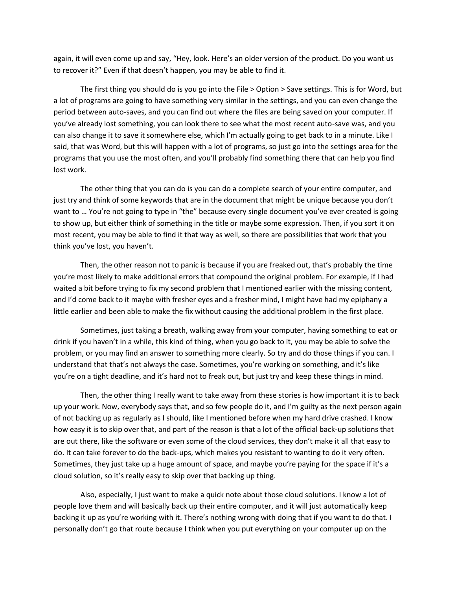again, it will even come up and say, "Hey, look. Here's an older version of the product. Do you want us to recover it?" Even if that doesn't happen, you may be able to find it.

The first thing you should do is you go into the File > Option > Save settings. This is for Word, but a lot of programs are going to have something very similar in the settings, and you can even change the period between auto-saves, and you can find out where the files are being saved on your computer. If you've already lost something, you can look there to see what the most recent auto-save was, and you can also change it to save it somewhere else, which I'm actually going to get back to in a minute. Like I said, that was Word, but this will happen with a lot of programs, so just go into the settings area for the programs that you use the most often, and you'll probably find something there that can help you find lost work.

The other thing that you can do is you can do a complete search of your entire computer, and just try and think of some keywords that are in the document that might be unique because you don't want to ... You're not going to type in "the" because every single document you've ever created is going to show up, but either think of something in the title or maybe some expression. Then, if you sort it on most recent, you may be able to find it that way as well, so there are possibilities that work that you think you've lost, you haven't.

Then, the other reason not to panic is because if you are freaked out, that's probably the time you're most likely to make additional errors that compound the original problem. For example, if I had waited a bit before trying to fix my second problem that I mentioned earlier with the missing content, and I'd come back to it maybe with fresher eyes and a fresher mind, I might have had my epiphany a little earlier and been able to make the fix without causing the additional problem in the first place.

Sometimes, just taking a breath, walking away from your computer, having something to eat or drink if you haven't in a while, this kind of thing, when you go back to it, you may be able to solve the problem, or you may find an answer to something more clearly. So try and do those things if you can. I understand that that's not always the case. Sometimes, you're working on something, and it's like you're on a tight deadline, and it's hard not to freak out, but just try and keep these things in mind.

Then, the other thing I really want to take away from these stories is how important it is to back up your work. Now, everybody says that, and so few people do it, and I'm guilty as the next person again of not backing up as regularly as I should, like I mentioned before when my hard drive crashed. I know how easy it is to skip over that, and part of the reason is that a lot of the official back-up solutions that are out there, like the software or even some of the cloud services, they don't make it all that easy to do. It can take forever to do the back-ups, which makes you resistant to wanting to do it very often. Sometimes, they just take up a huge amount of space, and maybe you're paying for the space if it's a cloud solution, so it's really easy to skip over that backing up thing.

Also, especially, I just want to make a quick note about those cloud solutions. I know a lot of people love them and will basically back up their entire computer, and it will just automatically keep backing it up as you're working with it. There's nothing wrong with doing that if you want to do that. I personally don't go that route because I think when you put everything on your computer up on the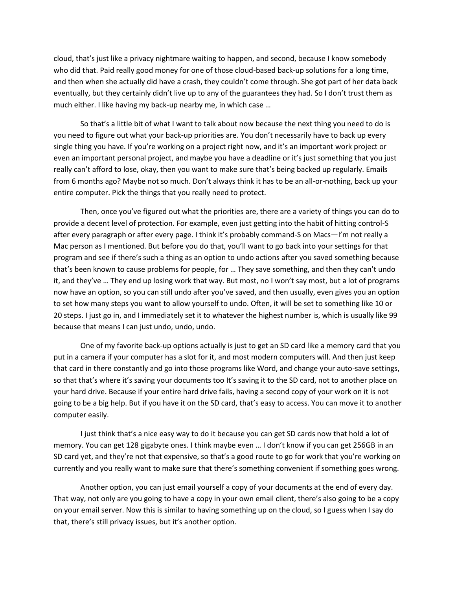cloud, that's just like a privacy nightmare waiting to happen, and second, because I know somebody who did that. Paid really good money for one of those cloud-based back-up solutions for a long time, and then when she actually did have a crash, they couldn't come through. She got part of her data back eventually, but they certainly didn't live up to any of the guarantees they had. So I don't trust them as much either. I like having my back-up nearby me, in which case …

So that's a little bit of what I want to talk about now because the next thing you need to do is you need to figure out what your back-up priorities are. You don't necessarily have to back up every single thing you have. If you're working on a project right now, and it's an important work project or even an important personal project, and maybe you have a deadline or it's just something that you just really can't afford to lose, okay, then you want to make sure that's being backed up regularly. Emails from 6 months ago? Maybe not so much. Don't always think it has to be an all-or-nothing, back up your entire computer. Pick the things that you really need to protect.

Then, once you've figured out what the priorities are, there are a variety of things you can do to provide a decent level of protection. For example, even just getting into the habit of hitting control-S after every paragraph or after every page. I think it's probably command-S on Macs—I'm not really a Mac person as I mentioned. But before you do that, you'll want to go back into your settings for that program and see if there's such a thing as an option to undo actions after you saved something because that's been known to cause problems for people, for … They save something, and then they can't undo it, and they've … They end up losing work that way. But most, no I won't say most, but a lot of programs now have an option, so you can still undo after you've saved, and then usually, even gives you an option to set how many steps you want to allow yourself to undo. Often, it will be set to something like 10 or 20 steps. I just go in, and I immediately set it to whatever the highest number is, which is usually like 99 because that means I can just undo, undo, undo.

One of my favorite back-up options actually is just to get an SD card like a memory card that you put in a camera if your computer has a slot for it, and most modern computers will. And then just keep that card in there constantly and go into those programs like Word, and change your auto-save settings, so that that's where it's saving your documents too It's saving it to the SD card, not to another place on your hard drive. Because if your entire hard drive fails, having a second copy of your work on it is not going to be a big help. But if you have it on the SD card, that's easy to access. You can move it to another computer easily.

I just think that's a nice easy way to do it because you can get SD cards now that hold a lot of memory. You can get 128 gigabyte ones. I think maybe even … I don't know if you can get 256GB in an SD card yet, and they're not that expensive, so that's a good route to go for work that you're working on currently and you really want to make sure that there's something convenient if something goes wrong.

Another option, you can just email yourself a copy of your documents at the end of every day. That way, not only are you going to have a copy in your own email client, there's also going to be a copy on your email server. Now this is similar to having something up on the cloud, so I guess when I say do that, there's still privacy issues, but it's another option.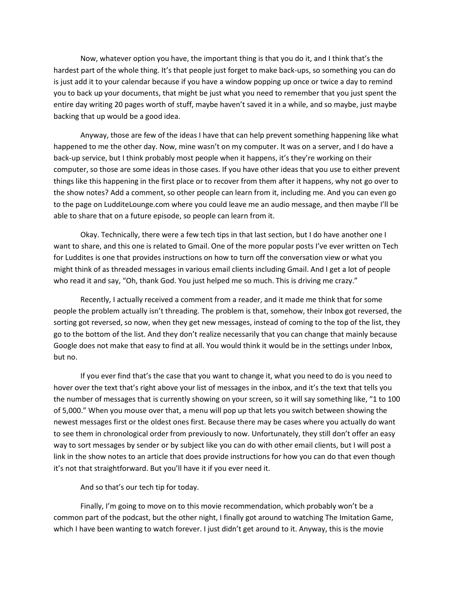Now, whatever option you have, the important thing is that you do it, and I think that's the hardest part of the whole thing. It's that people just forget to make back-ups, so something you can do is just add it to your calendar because if you have a window popping up once or twice a day to remind you to back up your documents, that might be just what you need to remember that you just spent the entire day writing 20 pages worth of stuff, maybe haven't saved it in a while, and so maybe, just maybe backing that up would be a good idea.

Anyway, those are few of the ideas I have that can help prevent something happening like what happened to me the other day. Now, mine wasn't on my computer. It was on a server, and I do have a back-up service, but I think probably most people when it happens, it's they're working on their computer, so those are some ideas in those cases. If you have other ideas that you use to either prevent things like this happening in the first place or to recover from them after it happens, why not go over to the show notes? Add a comment, so other people can learn from it, including me. And you can even go to the page on LudditeLounge.com where you could leave me an audio message, and then maybe I'll be able to share that on a future episode, so people can learn from it.

Okay. Technically, there were a few tech tips in that last section, but I do have another one I want to share, and this one is related to Gmail. One of the more popular posts I've ever written on Tech for Luddites is one that provides instructions on how to turn off the conversation view or what you might think of as threaded messages in various email clients including Gmail. And I get a lot of people who read it and say, "Oh, thank God. You just helped me so much. This is driving me crazy."

Recently, I actually received a comment from a reader, and it made me think that for some people the problem actually isn't threading. The problem is that, somehow, their Inbox got reversed, the sorting got reversed, so now, when they get new messages, instead of coming to the top of the list, they go to the bottom of the list. And they don't realize necessarily that you can change that mainly because Google does not make that easy to find at all. You would think it would be in the settings under Inbox, but no.

If you ever find that's the case that you want to change it, what you need to do is you need to hover over the text that's right above your list of messages in the inbox, and it's the text that tells you the number of messages that is currently showing on your screen, so it will say something like, "1 to 100 of 5,000." When you mouse over that, a menu will pop up that lets you switch between showing the newest messages first or the oldest ones first. Because there may be cases where you actually do want to see them in chronological order from previously to now. Unfortunately, they still don't offer an easy way to sort messages by sender or by subject like you can do with other email clients, but I will post a link in the show notes to an article that does provide instructions for how you can do that even though it's not that straightforward. But you'll have it if you ever need it.

And so that's our tech tip for today.

Finally, I'm going to move on to this movie recommendation, which probably won't be a common part of the podcast, but the other night, I finally got around to watching The Imitation Game, which I have been wanting to watch forever. I just didn't get around to it. Anyway, this is the movie